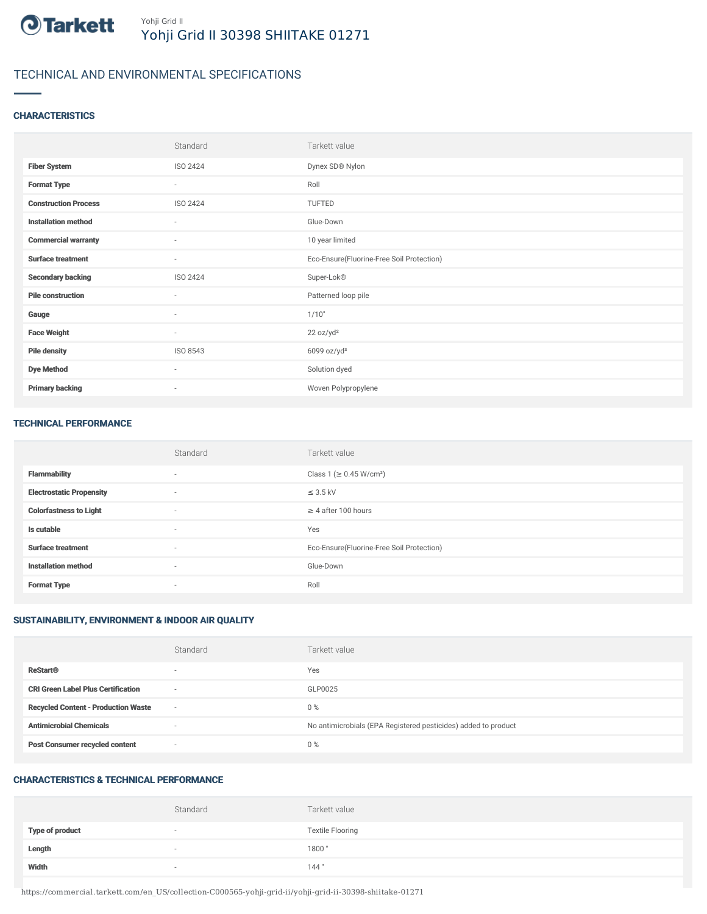

# TECHNICAL AND ENVIRONMENTAL SPECIFICATIONS

### **CHARACTERISTICS**

|                             | Standard                 | Tarkett value                             |
|-----------------------------|--------------------------|-------------------------------------------|
| <b>Fiber System</b>         | ISO 2424                 | Dynex SD® Nylon                           |
| <b>Format Type</b>          | $\sim$                   | Roll                                      |
| <b>Construction Process</b> | ISO 2424                 | TUFTED                                    |
| <b>Installation method</b>  | ٠                        | Glue-Down                                 |
| <b>Commercial warranty</b>  | $\sim$                   | 10 year limited                           |
| <b>Surface treatment</b>    | $\sim$                   | Eco-Ensure(Fluorine-Free Soil Protection) |
| <b>Secondary backing</b>    | ISO 2424                 | Super-Lok®                                |
| <b>Pile construction</b>    | ٠                        | Patterned loop pile                       |
| Gauge                       | ٠                        | 1/10"                                     |
| <b>Face Weight</b>          | $\overline{\phantom{a}}$ | 22 oz/yd <sup>2</sup>                     |
| <b>Pile density</b>         | ISO 8543                 | 6099 oz/yd <sup>3</sup>                   |
| <b>Dye Method</b>           | $\overline{\phantom{a}}$ | Solution dyed                             |
| <b>Primary backing</b>      | ٠                        | Woven Polypropylene                       |

#### TECHNICAL PERFORMANCE

|                                 | Standard                 | Tarkett value                             |
|---------------------------------|--------------------------|-------------------------------------------|
| <b>Flammability</b>             | $\overline{\phantom{a}}$ | Class 1 (≥ 0.45 W/cm <sup>2</sup> )       |
| <b>Electrostatic Propensity</b> | $\sim$                   | $\leq$ 3.5 kV                             |
| <b>Colorfastness to Light</b>   | $\sim$                   | $\geq$ 4 after 100 hours                  |
| Is cutable                      | $\overline{\phantom{a}}$ | Yes                                       |
| <b>Surface treatment</b>        | $\sim$                   | Eco-Ensure(Fluorine-Free Soil Protection) |
| <b>Installation method</b>      | $\sim$                   | Glue-Down                                 |
| <b>Format Type</b>              | $\overline{\phantom{a}}$ | Roll                                      |

# SUSTAINABILITY, ENVIRONMENT & INDOOR AIR QUALITY

|                                            | Standard                 | Tarkett value                                                  |
|--------------------------------------------|--------------------------|----------------------------------------------------------------|
| <b>ReStart®</b>                            | $\overline{\phantom{a}}$ | Yes                                                            |
| <b>CRI Green Label Plus Certification</b>  | $\overline{\phantom{a}}$ | GLP0025                                                        |
| <b>Recycled Content - Production Waste</b> | $\sim$                   | $0\%$                                                          |
| <b>Antimicrobial Chemicals</b>             | ۰                        | No antimicrobials (EPA Registered pesticides) added to product |
| <b>Post Consumer recycled content</b>      | $\overline{\phantom{a}}$ | $0\%$                                                          |

# CHARACTERISTICS & TECHNICAL PERFORMANCE

|                        | Standard | Tarkett value           |
|------------------------|----------|-------------------------|
| <b>Type of product</b> | $\sim$   | <b>Textile Flooring</b> |
| Length                 |          | 1800                    |
| Width                  | $\sim$   | 144"                    |

https://commercial.tarkett.com/en\_US/collection-C000565-yohji-grid-ii/yohji-grid-ii-30398-shiitake-01271